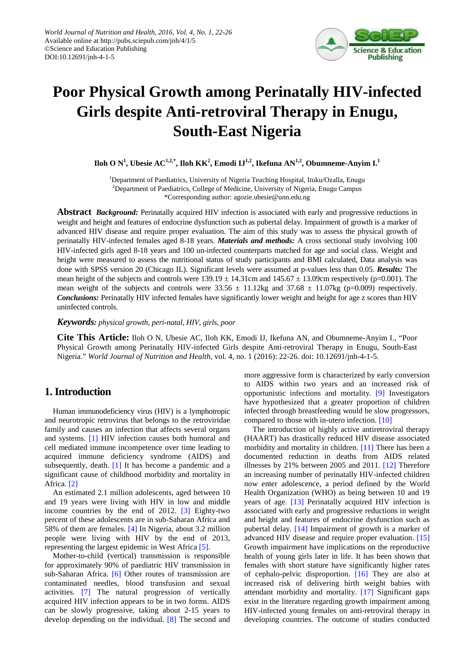

# **Poor Physical Growth among Perinatally HIV-infected Girls despite Anti-retroviral Therapy in Enugu, South-East Nigeria**

 ${\bf I}$ loh O N<sup>1</sup>, Ubesie AC<sup>1,2,\*</sup>, Iloh KK<sup>2</sup>, Emodi IJ<sup>1,2</sup>, Ikefuna AN<sup>1,2</sup>, Obumneme-Anyim I.<sup>1</sup>

<sup>1</sup>Department of Paediatrics, University of Nigeria Teaching Hospital, Ituku/Ozalla, Enugu <sup>2</sup>Department of Paediatrics, College of Medicine, University of Nigeria, Enugu Campus

\*Corresponding author: agozie.ubesie@unn.edu.ng

**Abstract** *Background:* Perinatally acquired HIV infection is associated with early and progressive reductions in weight and height and features of endocrine dysfunction such as pubertal delay. Impairment of growth is a marker of advanced HIV disease and require proper evaluation. The aim of this study was to assess the physical growth of perinatally HIV-infected females aged 8-18 years. *Materials and methods:* A cross sectional study involving 100 HIV-infected girls aged 8-18 years and 100 un-infected counterparts matched for age and social class. Weight and height were measured to assess the nutritional status of study participants and BMI calculated, Data analysis was done with SPSS version 20 (Chicago IL). Significant levels were assumed at p-values less than 0.05. *Results:* The mean height of the subjects and controls were  $139.19 \pm 14.31$ cm and  $145.67 \pm 13.09$ cm respectively (p=0.001). The mean weight of the subjects and controls were  $33.56 \pm 11.12$ kg and  $37.68 \pm 11.07$ kg (p=0.009) respectively. *Conclusions:* Perinatally HIV infected females have significantly lower weight and height for age z scores than HIV uninfected controls.

*Keywords: physical growth, peri-natal, HIV, girls, poor*

**Cite This Article:** Iloh O N, Ubesie AC, Iloh KK, Emodi IJ, Ikefuna AN, and Obumneme-Anyim I., "Poor Physical Growth among Perinatally HIV-infected Girls despite Anti-retroviral Therapy in Enugu, South-East Nigeria." *World Journal of Nutrition and Health*, vol. 4, no. 1 (2016): 22-26. doi: 10.12691/jnh-4-1-5.

# **1. Introduction**

Human immunodeficiency virus (HIV) is a lymphotropic and neurotropic retrovirus that belongs to the retroviridae family and causes an infection that affects several organs and systems. [\[1\]](#page-4-0) HIV infection causes both humoral and cell mediated immune incompetence over time leading to acquired immune deficiency syndrome (AIDS) and subsequently, death. [\[1\]](#page-4-0) It has become a pandemic and a significant cause of childhood morbidity and mortality in Africa. [\[2\]](#page-4-1)

An estimated 2.1 million adolescents, aged between 10 and 19 years were living with HIV in low and middle income countries by the end of 2012. [\[3\]](#page-4-2) Eighty-two percent of these adolescents are in sub-Saharan Africa and 58% of them are females. [\[4\]](#page-4-3) In Nigeria, about 3.2 million people were living with HIV by the end of 2013, representing the largest epidemic in West Africa [\[5\].](#page-4-4)

Mother-to-child (vertical) transmission is responsible for approximately 90% of paediatric HIV transmission in sub-Saharan Africa. [\[6\]](#page-4-5) Other routes of transmission are contaminated needles, blood transfusion and sexual activities. [\[7\]](#page-4-6) The natural progression of vertically acquired HIV infection appears to be in two forms. AIDS can be slowly progressive, taking about 2-15 years to develop depending on the individual. [\[8\]](#page-4-7) The second and more aggressive form is characterized by early conversion to AIDS within two years and an increased risk of opportunistic infections and mortality. [\[9\]](#page-4-8) Investigators have hypothesized that a greater proportion of children infected through breastfeeding would be slow progressors, compared to those with in-utero infection. [\[10\]](#page-4-9)

The introduction of highly active antiretroviral therapy (HAART) has drastically reduced HIV disease associated morbidity and mortality in children. [\[11\]](#page-4-10) There has been a documented reduction in deaths from AIDS related illnesses by 21% between 2005 and 2011. [\[12\]](#page-4-11) Therefore an increasing number of perinatally HIV-infected children now enter adolescence, a period defined by the World Health Organization (WHO) as being between 10 and 19 years of age. [\[13\]](#page-4-12) Perinatally acquired HIV infection is associated with early and progressive reductions in weight and height and features of endocrine dysfunction such as pubertal delay. [\[14\]](#page-4-13) Impairment of growth is a marker of advanced HIV disease and require proper evaluation. [\[15\]](#page-4-14) Growth impairment have implications on the reproductive health of young girls later in life. It has been shown that females with short stature have significantly higher rates of cephalo-pelvic disproportion. [\[16\]](#page-4-15) They are also at increased risk of delivering birth weight babies with attendant morbidity and mortality. [\[17\]](#page-4-16) Significant gaps exist in the literature regarding growth impairment among HIV-infected young females on anti-retroviral therapy in developing countries. The outcome of studies conducted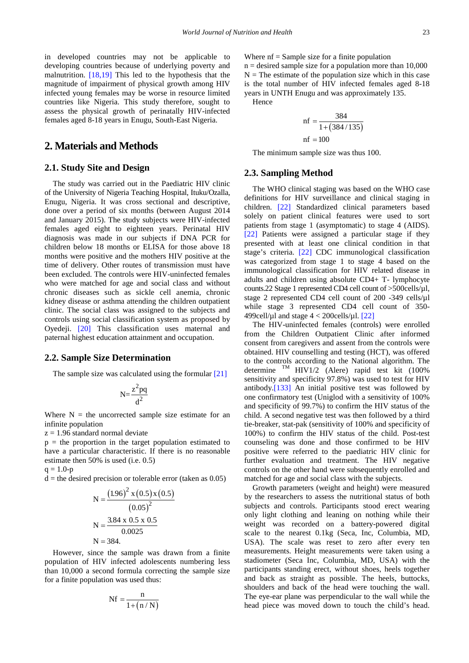in developed countries may not be applicable to developing countries because of underlying poverty and malnutrition. [\[18,19\]](#page-4-17) This led to the hypothesis that the magnitude of impairment of physical growth among HIV infected young females may be worse in resource limited countries like Nigeria. This study therefore, sought to assess the physical growth of perinatally HIV-infected females aged 8-18 years in Enugu, South-East Nigeria.

# **2. Materials and Methods**

### **2.1. Study Site and Design**

The study was carried out in the Paediatric HIV clinic of the University of Nigeria Teaching Hospital, Ituku/Ozalla, Enugu, Nigeria. It was cross sectional and descriptive, done over a period of six months (between August 2014 and January 2015). The study subjects were HIV-infected females aged eight to eighteen years. Perinatal HIV diagnosis was made in our subjects if DNA PCR for children below 18 months or ELISA for those above 18 months were positive and the mothers HIV positive at the time of delivery. Other routes of transmission must have been excluded. The controls were HIV-uninfected females who were matched for age and social class and without chronic diseases such as sickle cell anemia, chronic kidney disease or asthma attending the children outpatient clinic. The social class was assigned to the subjects and controls using social classification system as proposed by Oyedeji. [\[20\]](#page-4-18) This classification uses maternal and paternal highest education attainment and occupation.

#### **2.2. Sample Size Determination**

The sample size was calculated using the formular [\[21\]](#page-4-19)

$$
N{=}\frac{z^2pq}{d^2}
$$

Where  $N =$  the uncorrected sample size estimate for an infinite population

 $z = 1.96$  standard normal deviate

 $p =$  the proportion in the target population estimated to have a particular characteristic. If there is no reasonable estimate then 50% is used (i.e. 0.5)

 $q = 1.0-p$ 

 $d =$  the desired precision or tolerable error (taken as 0.05)

$$
N = \frac{(1.96)^{2} \times (0.5) \times (0.5)}{(0.05)^{2}}
$$

$$
N = \frac{3.84 \times 0.5 \times 0.5}{0.0025}
$$

$$
N = 384.
$$

However, since the sample was drawn from a finite population of HIV infected adolescents numbering less than 10,000 a second formula correcting the sample size for a finite population was used thus:

$$
Nf = \frac{n}{1 + (n / N)}
$$

Where  $nf = Sample size for a finite population$  $n =$  desired sample size for a population more than 10,000  $N =$ The estimate of the population size which in this case is the total number of HIV infected females aged 8-18 years in UNTH Enugu and was approximately 135.

Hence

$$
nf = \frac{384}{1 + (384/135)}
$$
  
nf = 100

The minimum sample size was thus 100.

#### **2.3. Sampling Method**

The WHO clinical staging was based on the WHO case definitions for HIV surveillance and clinical staging in children. [\[22\]](#page-4-20) Standardized clinical parameters based solely on patient clinical features were used to sort patients from stage 1 (asymptomatic) to stage 4 (AIDS). [\[22\]](#page-4-20) Patients were assigned a particular stage if they presented with at least one clinical condition in that stage's criteria. [\[22\]](#page-4-20) CDC immunological classification was categorized from stage 1 to stage 4 based on the immunological classification for HIV related disease in adults and children using absolute CD4+ T- lymphocyte counts.22 Stage 1 represented CD4 cell count of >500cells/µl, stage 2 represented CD4 cell count of 200 -349 cells/µl while stage 3 represented CD4 cell count of 350- 499cell/ $\mu$ l and stage  $4 < 200$ cells/ $\mu$ l. [\[22\]](#page-4-20)

The HIV-uninfected females (controls) were enrolled from the Children Outpatient Clinic after informed consent from caregivers and assent from the controls were obtained. HIV counselling and testing (HCT), was offered to the controls according to the National algorithm. The determine  $^{TM}$  HIV1/2 (Alere) rapid test kit (100%) sensitivity and specificity 97.8%) was used to test for HIV antibody.[133] An initial positive test was followed by one confirmatory test (Uniglod with a sensitivity of 100% and specificity of 99.7%) to confirm the HIV status of the child. A second negative test was then followed by a third tie-breaker, stat-pak (sensitivity of 100% and specificity of 100%) to confirm the HIV status of the child. Post-test counseling was done and those confirmed to be HIV positive were referred to the paediatric HIV clinic for further evaluation and treatment. The HIV negative controls on the other hand were subsequently enrolled and matched for age and social class with the subjects.

Growth parameters (weight and height) were measured by the researchers to assess the nutritional status of both subjects and controls. Participants stood erect wearing only light clothing and leaning on nothing while their weight was recorded on a battery-powered digital scale to the nearest 0.1kg (Seca, Inc, Columbia, MD, USA). The scale was reset to zero after every ten measurements. Height measurements were taken using a stadiometer (Seca Inc, Columbia, MD, USA) with the participants standing erect, without shoes, heels together and back as straight as possible. The heels, buttocks, shoulders and back of the head were touching the wall. The eye-ear plane was perpendicular to the wall while the head piece was moved down to touch the child's head.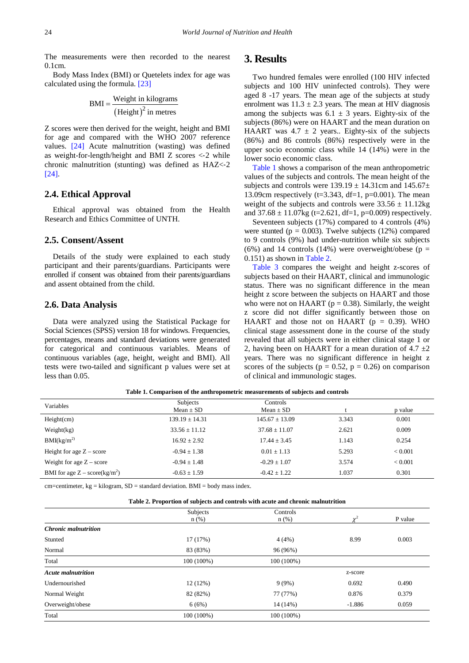The measurements were then recorded to the nearest 0.1cm.

Body Mass Index (BMI) or Quetelets index for age was calculated using the formula. [\[23\]](#page-4-21)

$$
BMI = \frac{Weight in kilograms}{(Height)^2 in metres}
$$

Z scores were then derived for the weight, height and BMI for age and compared with the WHO 2007 reference values. [\[24\]](#page-4-22) Acute malnutrition (wasting) was defined as weight-for-length/height and BMI Z scores <‐2 while chronic malnutrition (stunting) was defined as HAZ<‐2 [\[24\].](#page-4-22)

#### **2.4. Ethical Approval**

Ethical approval was obtained from the Health Research and Ethics Committee of UNTH.

## **2.5. Consent/Assent**

Details of the study were explained to each study participant and their parents/guardians. Participants were enrolled if consent was obtained from their parents/guardians and assent obtained from the child.

#### **2.6. Data Analysis**

Data were analyzed using the Statistical Package for Social Sciences (SPSS) version 18 for windows. Frequencies, percentages, means and standard deviations were generated for categorical and continuous variables. Means of continuous variables (age, height, weight and BMI). All tests were two-tailed and significant p values were set at less than 0.05.

# **3. Results**

Two hundred females were enrolled (100 HIV infected subjects and 100 HIV uninfected controls). They were aged 8 -17 years. The mean age of the subjects at study enrolment was  $11.3 \pm 2.3$  years. The mean at HIV diagnosis among the subjects was  $6.1 \pm 3$  years. Eighty-six of the subjects (86%) were on HAART and the mean duration on HAART was  $4.7 \pm 2$  years.. Eighty-six of the subjects (86%) and 86 controls (86%) respectively were in the upper socio economic class while 14 (14%) were in the lower socio economic class.

[Table 1](#page-2-0) shows a comparison of the mean anthropometric values of the subjects and controls. The mean height of the subjects and controls were  $139.19 \pm 14.31$ cm and  $145.67 \pm$ 13.09cm respectively (t=3.343, df=1, p=0.001). The mean weight of the subjects and controls were  $33.56 \pm 11.12$ kg and  $37.68 \pm 11.07$ kg (t=2.621, df=1, p=0.009) respectively.

Seventeen subjects (17%) compared to 4 controls (4%) were stunted ( $p = 0.003$ ). Twelve subjects (12%) compared to 9 controls (9%) had under-nutrition while six subjects (6%) and 14 controls (14%) were overweight/obese ( $p =$ 0.151) as shown in [Table 2.](#page-2-1)

[Table 3](#page-3-0) compares the weight and height z-scores of subjects based on their HAART, clinical and immunologic status. There was no significant difference in the mean height z score between the subjects on HAART and those who were not on HAART ( $p = 0.38$ ). Similarly, the weight z score did not differ significantly between those on HAART and those not on HAART ( $p = 0.39$ ). WHO clinical stage assessment done in the course of the study revealed that all subjects were in either clinical stage 1 or 2, having been on HAART for a mean duration of  $4.7 \pm 2$ years. There was no significant difference in height z scores of the subjects ( $p = 0.52$ ,  $p = 0.26$ ) on comparison of clinical and immunologic stages.

<span id="page-2-0"></span>

| Variables                              | Subjects<br>$Mean \pm SD$ | Controls<br>$Mean \pm SD$ |       | p value     |
|----------------------------------------|---------------------------|---------------------------|-------|-------------|
| Height(cm)                             | $139.19 + 14.31$          | $145.67 + 13.09$          | 3.343 | 0.001       |
| Weight(kg)                             | $33.56 + 11.12$           | $37.68 + 11.07$           | 2.621 | 0.009       |
| BMI(kg/m <sup>2</sup> )                | $16.92 + 2.92$            | $17.44 + 3.45$            | 1.143 | 0.254       |
| Height for age $Z$ – score             | $-0.94 \pm 1.38$          | $0.01 + 1.13$             | 5.293 | ${}< 0.001$ |
| Weight for age $Z$ – score             | $-0.94 + 1.48$            | $-0.29 + 1.07$            | 3.574 | ${}< 0.001$ |
| BMI for age $Z - \text{score}(kg/m^2)$ | $-0.63 \pm 1.59$          | $-0.42 + 1.22$            | 1.037 | 0.301       |

**Table 1. Comparison of the anthropometric measurements of subjects and controls**

cm=centimeter,  $kg = kilogram$ ,  $SD = standard deviation$ . BMI = body mass index.

| Table 2. Proportion of subjects and controls with acute and chronic malnutrition |  |  |  |  |
|----------------------------------------------------------------------------------|--|--|--|--|
|----------------------------------------------------------------------------------|--|--|--|--|

<span id="page-2-1"></span>

|                             | Subjects   | Controls   |          |         |
|-----------------------------|------------|------------|----------|---------|
|                             | $n$ (%)    | $n$ (%)    |          | P value |
| <b>Chronic malnutrition</b> |            |            |          |         |
| Stunted                     | 17 (17%)   | 4(4%)      | 8.99     | 0.003   |
| Normal                      | 83 (83%)   | 96 (96%)   |          |         |
| Total                       | 100 (100%) | 100 (100%) |          |         |
| <b>Acute malnutrition</b>   |            |            | z-score  |         |
| Undernourished              | 12(12%)    | 9(9%)      | 0.692    | 0.490   |
| Normal Weight               | 82 (82%)   | 77 (77%)   | 0.876    | 0.379   |
| Overweight/obese            | 6(6%)      | 14 (14%)   | $-1.886$ | 0.059   |
| Total                       | 100 (100%) | 100 (100%) |          |         |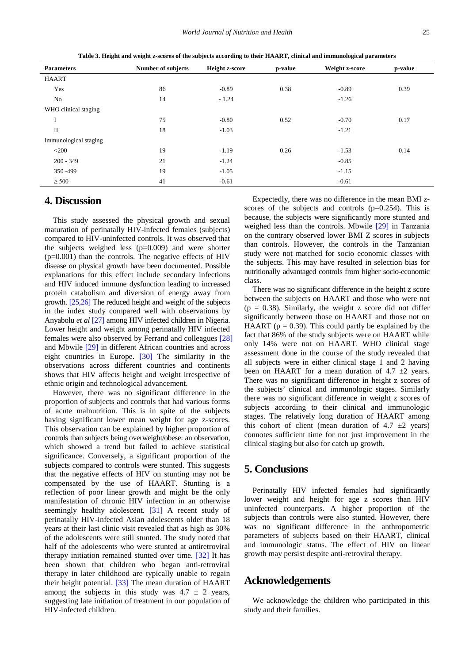<span id="page-3-0"></span>

| <b>Parameters</b>     | <b>Number of subjects</b> | <b>Height z-score</b> | p-value | Weight z-score | p-value |
|-----------------------|---------------------------|-----------------------|---------|----------------|---------|
| <b>HAART</b>          |                           |                       |         |                |         |
| Yes                   | 86                        | $-0.89$               | 0.38    | $-0.89$        | 0.39    |
| No                    | 14                        | $-1.24$               |         | $-1.26$        |         |
| WHO clinical staging  |                           |                       |         |                |         |
| I                     | 75                        | $-0.80$               | 0.52    | $-0.70$        | 0.17    |
| П                     | 18                        | $-1.03$               |         | $-1.21$        |         |
| Immunological staging |                           |                       |         |                |         |
| $<$ 200               | 19                        | $-1.19$               | 0.26    | $-1.53$        | 0.14    |
| $200 - 349$           | 21                        | $-1.24$               |         | $-0.85$        |         |
| 350 - 499             | 19                        | $-1.05$               |         | $-1.15$        |         |
| $\geq$ 500            | 41                        | $-0.61$               |         | $-0.61$        |         |

**Table 3. Height and weight z-scores of the subjects according to their HAART, clinical and immunological parameters**

## **4. Discussion**

This study assessed the physical growth and sexual maturation of perinatally HIV-infected females (subjects) compared to HIV-uninfected controls. It was observed that the subjects weighed less (p=0.009) and were shorter  $(p=0.001)$  than the controls. The negative effects of HIV disease on physical growth have been documented. Possible explanations for this effect include secondary infections and HIV induced immune dysfunction leading to increased protein catabolism and diversion of energy away from growth. [\[25,26\]](#page-4-23) The reduced height and weight of the subjects in the index study compared well with observations by Anyabolu *et al* [\[27\]](#page-4-24) among HIV infected children in Nigeria. Lower height and weight among perinatally HIV infected females were also observed by Ferrand and colleagues [\[28\]](#page-4-25) and Mbwile [\[29\]](#page-4-26) in different African countries and across eight countries in Europe. [\[30\]](#page-4-27) The similarity in the observations across different countries and continents shows that HIV affects height and weight irrespective of ethnic origin and technological advancement.

However, there was no significant difference in the proportion of subjects and controls that had various forms of acute malnutrition. This is in spite of the subjects having significant lower mean weight for age z-scores. This observation can be explained by higher proportion of controls than subjects being overweight/obese: an observation, which showed a trend but failed to achieve statistical significance. Conversely, a significant proportion of the subjects compared to controls were stunted. This suggests that the negative effects of HIV on stunting may not be compensated by the use of HAART. Stunting is a reflection of poor linear growth and might be the only manifestation of chronic HIV infection in an otherwise seemingly healthy adolescent. [\[31\]](#page-4-28) A recent study of perinatally HIV-infected Asian adolescents older than 18 years at their last clinic visit revealed that as high as 30% of the adolescents were still stunted. The study noted that half of the adolescents who were stunted at antiretroviral therapy initiation remained stunted over time. [\[32\]](#page-4-29) It has been shown that children who began anti-retroviral therapy in later childhood are typically unable to regain their height potential. [\[33\]](#page-4-30) The mean duration of HAART among the subjects in this study was  $4.7 \pm 2$  years, suggesting late initiation of treatment in our population of HIV-infected children.

Expectedly, there was no difference in the mean BMI zscores of the subjects and controls  $(p=0.254)$ . This is because, the subjects were significantly more stunted and weighed less than the controls. Mbwile [\[29\]](#page-4-26) in Tanzania on the contrary observed lower BMI Z scores in subjects than controls. However, the controls in the Tanzanian study were not matched for socio economic classes with the subjects. This may have resulted in selection bias for nutritionally advantaged controls from higher socio-economic class.

There was no significant difference in the height z score between the subjects on HAART and those who were not  $(p = 0.38)$ . Similarly, the weight z score did not differ significantly between those on HAART and those not on HAART ( $p = 0.39$ ). This could partly be explained by the fact that 86% of the study subjects were on HAART while only 14% were not on HAART. WHO clinical stage assessment done in the course of the study revealed that all subjects were in either clinical stage 1 and 2 having been on HAART for a mean duration of  $4.7 \pm 2$  years. There was no significant difference in height z scores of the subjects' clinical and immunologic stages. Similarly there was no significant difference in weight z scores of subjects according to their clinical and immunologic stages. The relatively long duration of HAART among this cohort of client (mean duration of  $4.7 \pm 2$  years) connotes sufficient time for not just improvement in the clinical staging but also for catch up growth.

# **5. Conclusions**

Perinatally HIV infected females had significantly lower weight and height for age z scores than HIV uninfected counterparts. A higher proportion of the subjects than controls were also stunted. However, there was no significant difference in the anthropometric parameters of subjects based on their HAART, clinical and immunologic status. The effect of HIV on linear growth may persist despite anti-retroviral therapy.

## **Acknowledgements**

We acknowledge the children who participated in this study and their families.